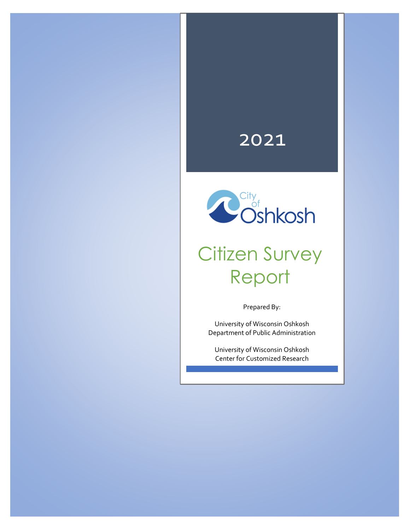## 2021



# Citizen Survey Report

Prepared By:

University of Wisconsin Oshkosh Department of Public Administration

University of Wisconsin Oshkosh Center for Customized Research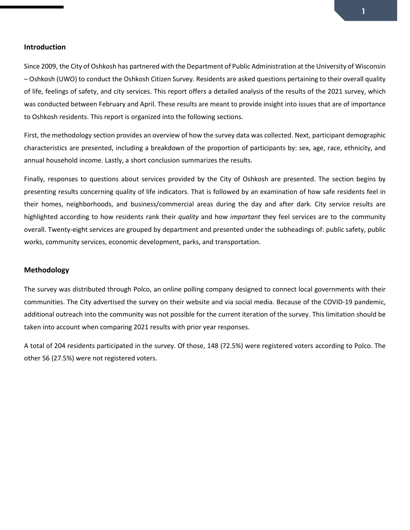Since 2009, the City of Oshkosh has partnered with the Department of Public Administration at the University of Wisconsin – Oshkosh (UWO) to conduct the Oshkosh Citizen Survey. Residents are asked questions pertaining to their overall quality of life, feelings of safety, and city services. This report offers a detailed analysis of the results of the 2021 survey, which was conducted between February and April. These results are meant to provide insight into issues that are of importance to Oshkosh residents. This report is organized into the following sections.

First, the methodology section provides an overview of how the survey data was collected. Next, participant demographic characteristics are presented, including a breakdown of the proportion of participants by: sex, age, race, ethnicity, and annual household income. Lastly, a short conclusion summarizes the results.

Finally, responses to questions about services provided by the City of Oshkosh are presented. The section begins by presenting results concerning quality of life indicators. That is followed by an examination of how safe residents feel in their homes, neighborhoods, and business/commercial areas during the day and after dark. City service results are highlighted according to how residents rank their *quality* and how *important* they feel services are to the community overall. Twenty-eight services are grouped by department and presented under the subheadings of: public safety, public works, community services, economic development, parks, and transportation.

#### **Methodology**

The survey was distributed through Polco, an online polling company designed to connect local governments with their communities. The City advertised the survey on their website and via social media. Because of the COVID-19 pandemic, additional outreach into the community was not possible for the current iteration of the survey. This limitation should be taken into account when comparing 2021 results with prior year responses.

A total of 204 residents participated in the survey. Of those, 148 (72.5%) were registered voters according to Polco. The other 56 (27.5%) were not registered voters.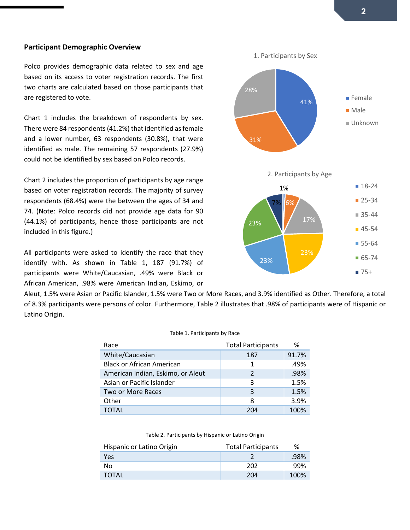#### **Participant Demographic Overview**

Polco provides demographic data related to sex and age based on its access to voter registration records. The first two charts are calculated based on those participants that are registered to vote.

Chart 1 includes the breakdown of respondents by sex. There were 84 respondents (41.2%) that identified as female and a lower number, 63 respondents (30.8%), that were identified as male. The remaining 57 respondents (27.9%) could not be identified by sex based on Polco records.

Chart 2 includes the proportion of participants by age range based on voter registration records. The majority of survey respondents (68.4%) were the between the ages of 34 and 74. (Note: Polco records did not provide age data for 90 (44.1%) of participants, hence those participants are not included in this figure.)

All participants were asked to identify the race that they identify with. As shown in Table 1, 187 (91.7%) of participants were White/Caucasian, .49% were Black or African American, .98% were American Indian, Eskimo, or



Aleut, 1.5% were Asian or Pacific Islander, 1.5% were Two or More Races, and 3.9% identified as Other. Therefore, a total of 8.3% participants were persons of color. Furthermore, Table 2 illustrates that .98% of participants were of Hispanic or Latino Origin.

#### Table 1. Participants by Race

| Race                              | <b>Total Participants</b> | ℅     |
|-----------------------------------|---------------------------|-------|
| White/Caucasian                   | 187                       | 91.7% |
| <b>Black or African American</b>  | 1                         | .49%  |
| American Indian, Eskimo, or Aleut | $\mathcal{P}$             | .98%  |
| Asian or Pacific Islander         | 3                         | 1.5%  |
| Two or More Races                 | 3                         | 1.5%  |
| Other                             | 8                         | 3.9%  |
| TOTAL                             | 204                       | 100%  |

Table 2. Participants by Hispanic or Latino Origin

| Hispanic or Latino Origin | <b>Total Participants</b> | ℅    |
|---------------------------|---------------------------|------|
| <b>Yes</b>                |                           | .98% |
| No.                       | 202                       | -99% |
| <b>TOTAL</b>              | 204                       | 100% |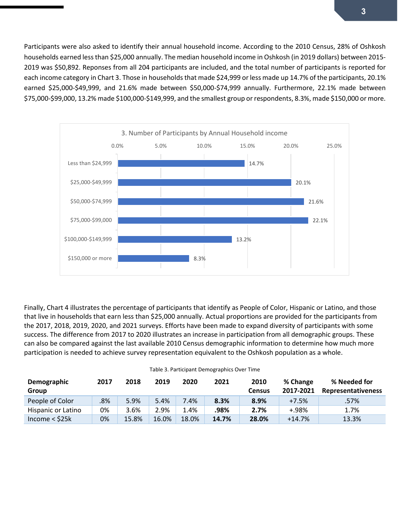Participants were also asked to identify their annual household income. According to the 2010 Census, 28% of Oshkosh households earned less than \$25,000 annually. The median household income in Oshkosh (in 2019 dollars) between 2015- 2019 was \$50,892. Reponses from all 204 participants are included, and the total number of participants is reported for each income category in Chart 3. Those in households that made \$24,999 or less made up 14.7% of the participants, 20.1% earned \$25,000-\$49,999, and 21.6% made between \$50,000-\$74,999 annually. Furthermore, 22.1% made between \$75,000-\$99,000, 13.2% made \$100,000-\$149,999, and the smallest group or respondents, 8.3%, made \$150,000 or more.



Finally, Chart 4 illustrates the percentage of participants that identify as People of Color, Hispanic or Latino, and those that live in households that earn less than \$25,000 annually. Actual proportions are provided for the participants from the 2017, 2018, 2019, 2020, and 2021 surveys. Efforts have been made to expand diversity of participants with some success. The difference from 2017 to 2020 illustrates an increase in participation from all demographic groups. These can also be compared against the last available 2010 Census demographic information to determine how much more participation is needed to achieve survey representation equivalent to the Oshkosh population as a whole.

| Table 3. Participant Demographics Over Time |      |      |       |      |      |          |
|---------------------------------------------|------|------|-------|------|------|----------|
| 2017                                        | 2018 | 2019 | -2020 | 2021 | 2010 | % Change |
|                                             |      |      |       |      |      | $\cdots$ |

| Demographic         | 2017 | 2018  | 2019  | 2020  | 2021  | 2010          | % Change  | % Needed for              |
|---------------------|------|-------|-------|-------|-------|---------------|-----------|---------------------------|
| Group               |      |       |       |       |       | <b>Census</b> | 2017-2021 | <b>Representativeness</b> |
| People of Color     | .8%  | 5.9%  | 5.4%  | 7.4%  | 8.3%  | 8.9%          | $+7.5%$   | .57%                      |
| Hispanic or Latino  | 0%   | 3.6%  | 2.9%  | 1.4%  | .98%  | 2.7%          | $+.98%$   | 1.7%                      |
| Income $<$ \$25 $k$ | 0%   | 15.8% | 16.0% | 18.0% | 14.7% | 28.0%         | $+14.7%$  | 13.3%                     |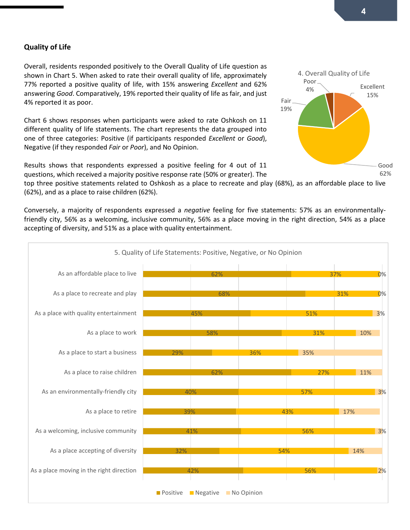## **Quality of Life**

Overall, residents responded positively to the Overall Quality of Life question as shown in Chart 5. When asked to rate their overall quality of life, approximately 77% reported a positive quality of life, with 15% answering *Excellent* and 62% answering *Good*. Comparatively, 19% reported their quality of life as fair, and just 4% reported it as poor.

Chart 6 shows responses when participants were asked to rate Oshkosh on 11 different quality of life statements. The chart represents the data grouped into one of three categories: Positive (if participants responded *Excellent* or *Good*), Negative (if they responded *Fair* or *Poor*), and No Opinion.

Results shows that respondents expressed a positive feeling for 4 out of 11 questions, which received a majority positive response rate (50% or greater). The

top three positive statements related to Oshkosh as a place to recreate and play (68%), as an affordable place to live (62%), and as a place to raise children (62%).

Conversely, a majority of respondents expressed a *negative* feeling for five statements: 57% as an environmentallyfriendly city, 56% as a welcoming, inclusive community, 56% as a place moving in the right direction, 54% as a place accepting of diversity, and 51% as a place with quality entertainment.



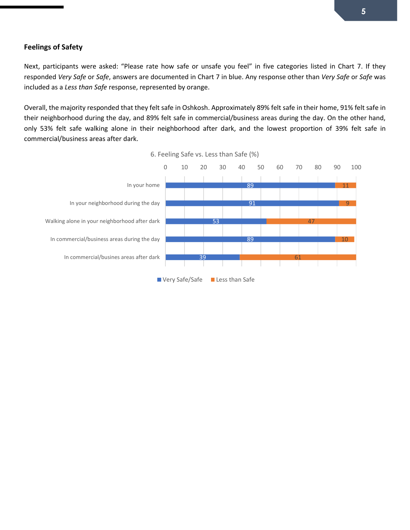## **Feelings of Safety**

Next, participants were asked: "Please rate how safe or unsafe you feel" in five categories listed in Chart 7. If they responded *Very Safe* or *Safe*, answers are documented in Chart 7 in blue. Any response other than *Very Safe* or *Safe* was included as a *Less than Safe* response, represented by orange.

Overall, the majority responded that they felt safe in Oshkosh. Approximately 89% felt safe in their home, 91% felt safe in their neighborhood during the day, and 89% felt safe in commercial/business areas during the day. On the other hand, only 53% felt safe walking alone in their neighborhood after dark, and the lowest proportion of 39% felt safe in commercial/business areas after dark.



6. Feeling Safe vs. Less than Safe (%)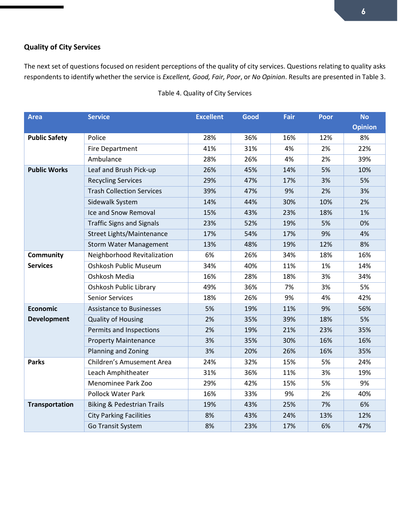## **Quality of City Services**

The next set of questions focused on resident perceptions of the quality of city services. Questions relating to quality asks respondents to identify whether the service is *Excellent, Good, Fair, Poor*, or *No Opinion*. Results are presented in Table 3.

| <b>Area</b>           | <b>Service</b>                        | <b>Excellent</b> | Good | Fair | <b>Poor</b> | <b>No</b>      |
|-----------------------|---------------------------------------|------------------|------|------|-------------|----------------|
|                       |                                       |                  |      |      |             | <b>Opinion</b> |
| <b>Public Safety</b>  | Police                                | 28%              | 36%  | 16%  | 12%         | 8%             |
|                       | <b>Fire Department</b>                | 41%              | 31%  | 4%   | 2%          | 22%            |
|                       | Ambulance                             | 28%              | 26%  | 4%   | 2%          | 39%            |
| <b>Public Works</b>   | Leaf and Brush Pick-up                | 26%              | 45%  | 14%  | 5%          | 10%            |
|                       | <b>Recycling Services</b>             | 29%              | 47%  | 17%  | 3%          | 5%             |
|                       | <b>Trash Collection Services</b>      | 39%              | 47%  | 9%   | 2%          | 3%             |
|                       | Sidewalk System                       | 14%              | 44%  | 30%  | 10%         | 2%             |
|                       | Ice and Snow Removal                  | 15%              | 43%  | 23%  | 18%         | 1%             |
|                       | <b>Traffic Signs and Signals</b>      | 23%              | 52%  | 19%  | 5%          | 0%             |
|                       | Street Lights/Maintenance             | 17%              | 54%  | 17%  | 9%          | 4%             |
|                       | <b>Storm Water Management</b>         | 13%              | 48%  | 19%  | 12%         | 8%             |
| <b>Community</b>      | Neighborhood Revitalization           | 6%               | 26%  | 34%  | 18%         | 16%            |
| <b>Services</b>       | Oshkosh Public Museum                 | 34%              | 40%  | 11%  | 1%          | 14%            |
|                       | Oshkosh Media                         | 16%              | 28%  | 18%  | 3%          | 34%            |
|                       | Oshkosh Public Library                | 49%              | 36%  | 7%   | 3%          | 5%             |
|                       | <b>Senior Services</b>                | 18%              | 26%  | 9%   | 4%          | 42%            |
| <b>Economic</b>       | <b>Assistance to Businesses</b>       | 5%               | 19%  | 11%  | 9%          | 56%            |
| <b>Development</b>    | <b>Quality of Housing</b>             | 2%               | 35%  | 39%  | 18%         | 5%             |
|                       | Permits and Inspections               | 2%               | 19%  | 21%  | 23%         | 35%            |
|                       | <b>Property Maintenance</b>           | 3%               | 35%  | 30%  | 16%         | 16%            |
|                       | Planning and Zoning                   | 3%               | 20%  | 26%  | 16%         | 35%            |
| <b>Parks</b>          | Children's Amusement Area             | 24%              | 32%  | 15%  | 5%          | 24%            |
|                       | Leach Amphitheater                    | 31%              | 36%  | 11%  | 3%          | 19%            |
|                       | Menominee Park Zoo                    | 29%              | 42%  | 15%  | 5%          | 9%             |
|                       | <b>Pollock Water Park</b>             | 16%              | 33%  | 9%   | 2%          | 40%            |
| <b>Transportation</b> | <b>Biking &amp; Pedestrian Trails</b> | 19%              | 43%  | 25%  | 7%          | 6%             |
|                       | <b>City Parking Facilities</b>        | 8%               | 43%  | 24%  | 13%         | 12%            |
|                       | Go Transit System                     | 8%               | 23%  | 17%  | 6%          | 47%            |

## Table 4. Quality of City Services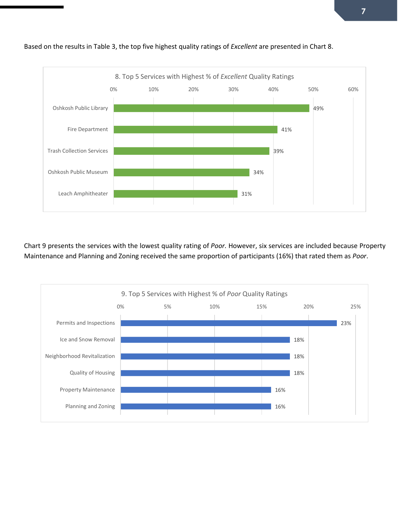

Based on the results in Table 3, the top five highest quality ratings of *Excellent* are presented in Chart 8.

Chart 9 presents the services with the lowest quality rating of *Poor.* However, six services are included because Property Maintenance and Planning and Zoning received the same proportion of participants (16%) that rated them as *Poor*.

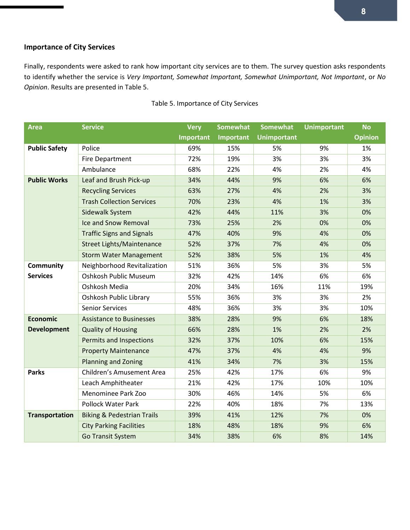## **Importance of City Services**

Finally, respondents were asked to rank how important city services are to them. The survey question asks respondents to identify whether the service is *Very Important, Somewhat Important, Somewhat Unimportant, Not Important*, or *No Opinion*. Results are presented in Table 5.

| <b>Area</b>           | <b>Service</b>                        | <b>Very</b> | <b>Somewhat</b> | <b>Somewhat</b>    | <b>Unimportant</b> | <b>No</b>      |
|-----------------------|---------------------------------------|-------------|-----------------|--------------------|--------------------|----------------|
|                       |                                       | Important   | Important       | <b>Unimportant</b> |                    | <b>Opinion</b> |
| <b>Public Safety</b>  | Police                                | 69%         | 15%             | 5%                 | 9%                 | 1%             |
|                       | <b>Fire Department</b>                | 72%         | 19%             | 3%                 | 3%                 | 3%             |
|                       | Ambulance                             | 68%         | 22%             | 4%                 | 2%                 | 4%             |
| <b>Public Works</b>   | Leaf and Brush Pick-up                | 34%         | 44%             | 9%                 | 6%                 | 6%             |
|                       | <b>Recycling Services</b>             | 63%         | 27%             | 4%                 | 2%                 | 3%             |
|                       | <b>Trash Collection Services</b>      | 70%         | 23%             | 4%                 | 1%                 | 3%             |
|                       | Sidewalk System                       | 42%         | 44%             | 11%                | 3%                 | 0%             |
|                       | Ice and Snow Removal                  | 73%         | 25%             | 2%                 | 0%                 | 0%             |
|                       | <b>Traffic Signs and Signals</b>      | 47%         | 40%             | 9%                 | 4%                 | 0%             |
|                       | <b>Street Lights/Maintenance</b>      | 52%         | 37%             | 7%                 | 4%                 | 0%             |
|                       | <b>Storm Water Management</b>         | 52%         | 38%             | 5%                 | 1%                 | 4%             |
| Community             | Neighborhood Revitalization           | 51%         | 36%             | 5%                 | 3%                 | 5%             |
| <b>Services</b>       | <b>Oshkosh Public Museum</b>          | 32%         | 42%             | 14%                | 6%                 | 6%             |
|                       | Oshkosh Media                         | 20%         | 34%             | 16%                | 11%                | 19%            |
|                       | Oshkosh Public Library                | 55%         | 36%             | 3%                 | 3%                 | 2%             |
|                       | <b>Senior Services</b>                | 48%         | 36%             | 3%                 | 3%                 | 10%            |
| <b>Economic</b>       | <b>Assistance to Businesses</b>       | 38%         | 28%             | 9%                 | 6%                 | 18%            |
| <b>Development</b>    | <b>Quality of Housing</b>             | 66%         | 28%             | 1%                 | 2%                 | 2%             |
|                       | Permits and Inspections               | 32%         | 37%             | 10%                | 6%                 | 15%            |
|                       | <b>Property Maintenance</b>           | 47%         | 37%             | 4%                 | 4%                 | 9%             |
|                       | <b>Planning and Zoning</b>            | 41%         | 34%             | 7%                 | 3%                 | 15%            |
| <b>Parks</b>          | Children's Amusement Area             | 25%         | 42%             | 17%                | 6%                 | 9%             |
|                       | Leach Amphitheater                    | 21%         | 42%             | 17%                | 10%                | 10%            |
|                       | Menominee Park Zoo                    | 30%         | 46%             | 14%                | 5%                 | 6%             |
|                       | <b>Pollock Water Park</b>             | 22%         | 40%             | 18%                | 7%                 | 13%            |
| <b>Transportation</b> | <b>Biking &amp; Pedestrian Trails</b> | 39%         | 41%             | 12%                | 7%                 | 0%             |
|                       | <b>City Parking Facilities</b>        | 18%         | 48%             | 18%                | 9%                 | 6%             |
|                       | <b>Go Transit System</b>              | 34%         | 38%             | 6%                 | 8%                 | 14%            |

## Table 5. Importance of City Services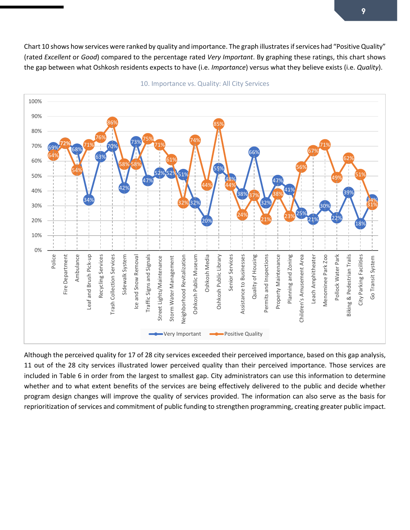Chart 10 shows how services were ranked by quality and importance. The graph illustrates if services had "Positive Quality" (rated *Excellent* or *Good*) compared to the percentage rated *Very Important*. By graphing these ratings, this chart shows the gap between what Oshkosh residents expects to have (i.e. *Importance*) versus what they believe exists (i.e. *Quality*).



10. Importance vs. Quality: All City Services

Although the perceived quality for 17 of 28 city services exceeded their perceived importance, based on this gap analysis, 11 out of the 28 city services illustrated lower perceived quality than their perceived importance. Those services are included in Table 6 in order from the largest to smallest gap. City administrators can use this information to determine whether and to what extent benefits of the services are being effectively delivered to the public and decide whether program design changes will improve the quality of services provided. The information can also serve as the basis for reprioritization of services and commitment of public funding to strengthen programming, creating greater public impact.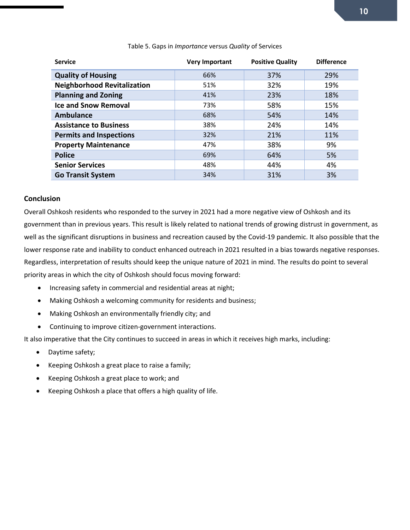| <b>Service</b>                     | <b>Very Important</b> | <b>Positive Quality</b> | <b>Difference</b> |
|------------------------------------|-----------------------|-------------------------|-------------------|
| <b>Quality of Housing</b>          | 66%                   | 37%                     | 29%               |
| <b>Neighborhood Revitalization</b> | 51%                   | 32%                     | 19%               |
| <b>Planning and Zoning</b>         | 41%                   | 23%                     | 18%               |
| <b>Ice and Snow Removal</b>        | 73%                   | 58%                     | 15%               |
| <b>Ambulance</b>                   | 68%                   | 54%                     | 14%               |
| <b>Assistance to Business</b>      | 38%                   | 24%                     | 14%               |
| <b>Permits and Inspections</b>     | 32%                   | 21%                     | 11%               |
| <b>Property Maintenance</b>        | 47%                   | 38%                     | 9%                |
| <b>Police</b>                      | 69%                   | 64%                     | 5%                |
| <b>Senior Services</b>             | 48%                   | 44%                     | 4%                |
| <b>Go Transit System</b>           | 34%                   | 31%                     | 3%                |

#### Table 5. Gaps in *Importance* versus *Quality* of Services

## **Conclusion**

Overall Oshkosh residents who responded to the survey in 2021 had a more negative view of Oshkosh and its government than in previous years. This result is likely related to national trends of growing distrust in government, as well as the significant disruptions in business and recreation caused by the Covid-19 pandemic. It also possible that the lower response rate and inability to conduct enhanced outreach in 2021 resulted in a bias towards negative responses. Regardless, interpretation of results should keep the unique nature of 2021 in mind. The results do point to several priority areas in which the city of Oshkosh should focus moving forward:

- Increasing safety in commercial and residential areas at night;
- Making Oshkosh a welcoming community for residents and business;
- Making Oshkosh an environmentally friendly city; and
- Continuing to improve citizen-government interactions.

It also imperative that the City continues to succeed in areas in which it receives high marks, including:

- Daytime safety;
- Keeping Oshkosh a great place to raise a family;
- Keeping Oshkosh a great place to work; and
- Keeping Oshkosh a place that offers a high quality of life.